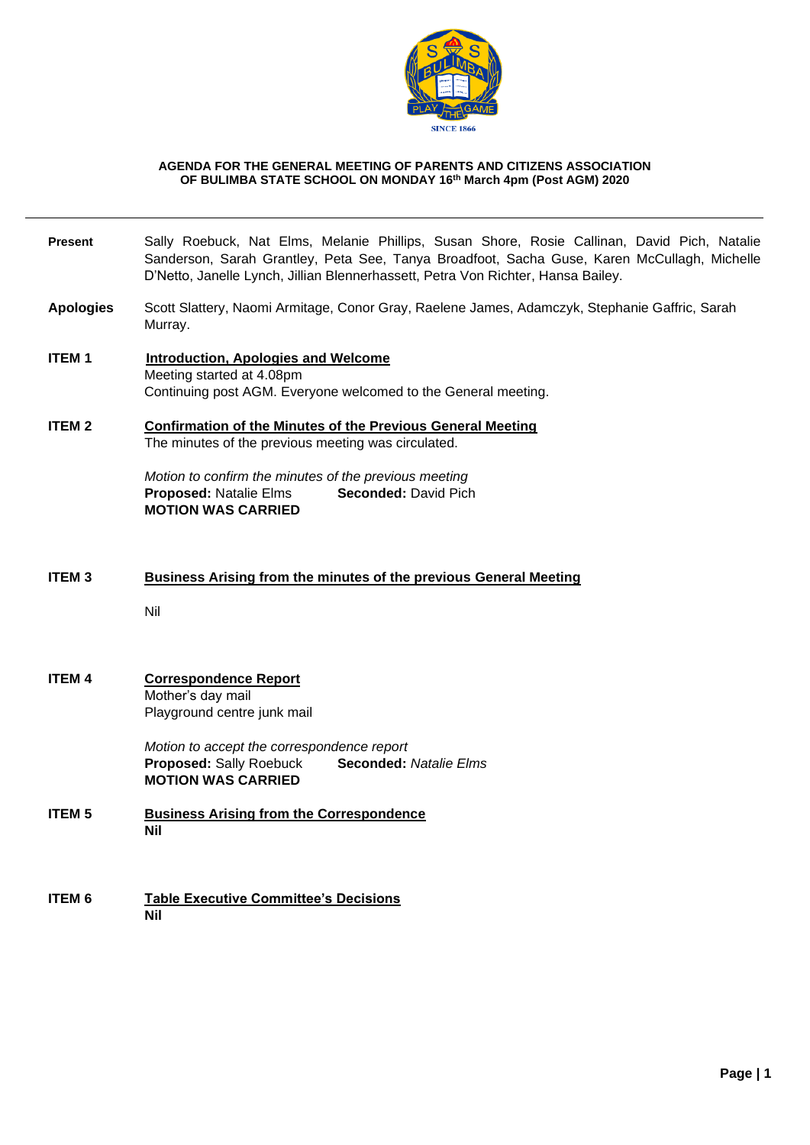

#### **AGENDA FOR THE GENERAL MEETING OF PARENTS AND CITIZENS ASSOCIATION OF BULIMBA STATE SCHOOL ON MONDAY 16th March 4pm (Post AGM) 2020**

# **Present** Sally Roebuck, Nat Elms, Melanie Phillips, Susan Shore, Rosie Callinan, David Pich, Natalie Sanderson, Sarah Grantley, Peta See, Tanya Broadfoot, Sacha Guse, Karen McCullagh, Michelle D'Netto, Janelle Lynch, Jillian Blennerhassett, Petra Von Richter, Hansa Bailey.

- **Apologies** Scott Slattery, Naomi Armitage, Conor Gray, Raelene James, Adamczyk, Stephanie Gaffric, Sarah Murray.
- **ITEM 1 Introduction, Apologies and Welcome**  Meeting started at 4.08pm Continuing post AGM. Everyone welcomed to the General meeting.
- **ITEM 2 Confirmation of the Minutes of the Previous General Meeting** The minutes of the previous meeting was circulated.

*Motion to confirm the minutes of the previous meeting* **Proposed:** Natalie Elms **Seconded:** David Pich **MOTION WAS CARRIED**

### **ITEM 3 Business Arising from the minutes of the previous General Meeting**

Nil

#### **ITEM 4 Correspondence Report**  Mother's day mail Playground centre junk mail

*Motion to accept the correspondence report* **Proposed:** Sally Roebuck **Seconded:** *Natalie Elms* **MOTION WAS CARRIED**

- **ITEM 5 Business Arising from the Correspondence Nil**
- **ITEM 6 Table Executive Committee's Decisions Nil**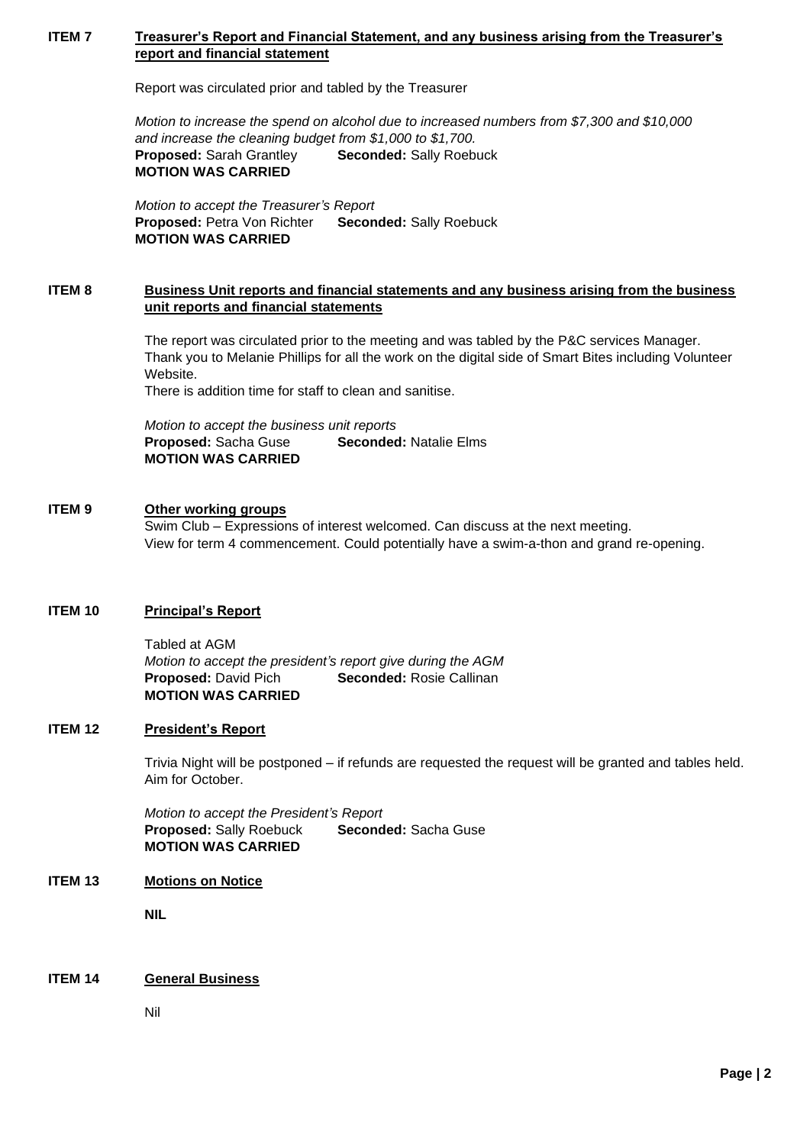## **ITEM 7** Treasurer's Report and Financial Statement, and any business arising from the Treasurer's **report and financial statement**

Report was circulated prior and tabled by the Treasurer

*Motion to increase the spend on alcohol due to increased numbers from \$7,300 and \$10,000 and increase the cleaning budget from \$1,000 to \$1,700.* **Proposed:** Sarah Grantley **Seconded:** Sally Roebuck **MOTION WAS CARRIED**

*Motion to accept the Treasurer's Report* **Proposed:** Petra Von Richter **Seconded:** Sally Roebuck **MOTION WAS CARRIED**

### **ITEM 8 Business Unit reports and financial statements and any business arising from the business unit reports and financial statements**

The report was circulated prior to the meeting and was tabled by the P&C services Manager. Thank you to Melanie Phillips for all the work on the digital side of Smart Bites including Volunteer Website.

There is addition time for staff to clean and sanitise.

*Motion to accept the business unit reports* **Proposed:** Sacha Guse **Seconded:** Natalie Elms **MOTION WAS CARRIED**

## **ITEM 9 Other working groups**

Swim Club – Expressions of interest welcomed. Can discuss at the next meeting. View for term 4 commencement. Could potentially have a swim-a-thon and grand re-opening.

## **ITEM 10 Principal's Report**

Tabled at AGM *Motion to accept the president's report give during the AGM* **Proposed:** David Pich **Seconded:** Rosie Callinan **MOTION WAS CARRIED**

## **ITEM 12 President's Report**

Trivia Night will be postponed – if refunds are requested the request will be granted and tables held. Aim for October.

*Motion to accept the President's Report* **Proposed:** Sally Roebuck **Seconded:** Sacha Guse **MOTION WAS CARRIED**

#### **ITEM 13 Motions on Notice**

**NIL**

#### **ITEM 14 General Business**

Nil